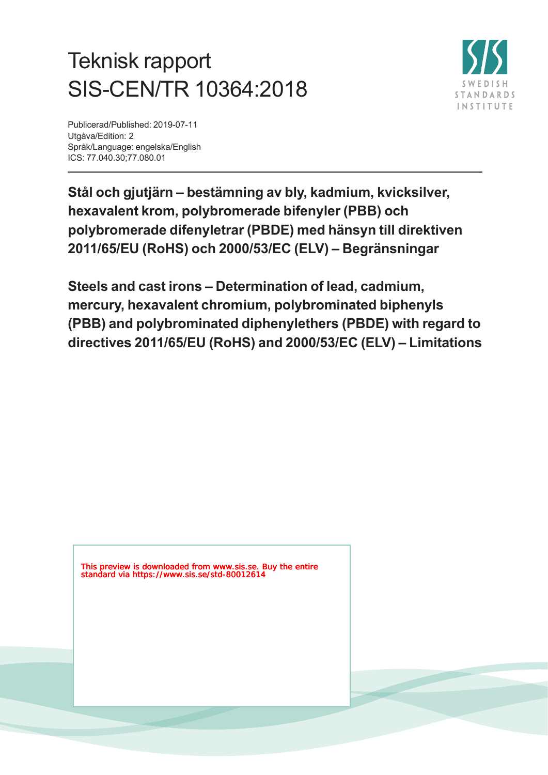# Teknisk rapport SIS-CEN/TR 10364:2018



Publicerad/Published: 2019-07-11 Utgåva/Edition: 2 Språk/Language: engelska/English ICS: 77.040.30;77.080.01

**Stål och gjutjärn – bestämning av bly, kadmium, kvicksilver, hexavalent krom, polybromerade bifenyler (PBB) och polybromerade difenyletrar (PBDE) med hänsyn till direktiven 2011/65/EU (RoHS) och 2000/53/EC (ELV) – Begränsningar**

**Steels and cast irons – Determination of lead, cadmium, mercury, hexavalent chromium, polybrominated biphenyls (PBB) and polybrominated diphenylethers (PBDE) with regard to directives 2011/65/EU (RoHS) and 2000/53/EC (ELV) – Limitations**

This preview is downloaded from www.sis.se. Buy the entire standard via https://www.sis.se/std-80012614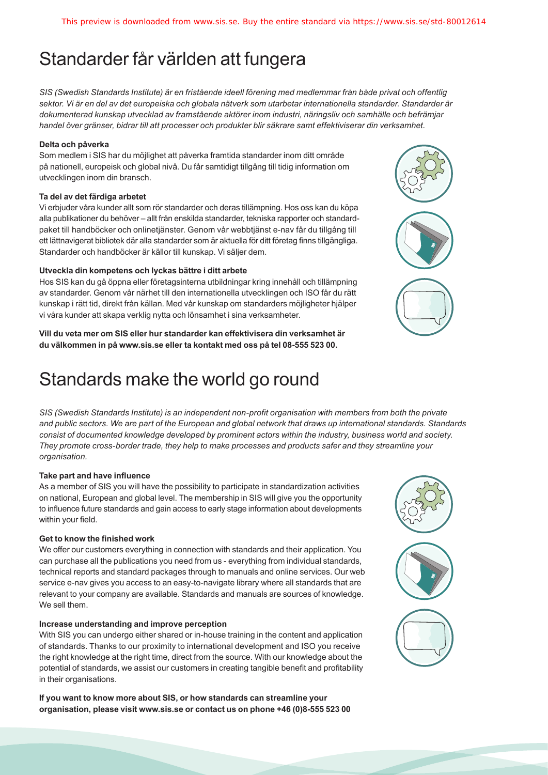# Standarder får världen att fungera

*SIS (Swedish Standards Institute) är en fristående ideell förening med medlemmar från både privat och offentlig sektor. Vi är en del av det europeiska och globala nätverk som utarbetar internationella standarder. Standarder är dokumenterad kunskap utvecklad av framstående aktörer inom industri, näringsliv och samhälle och befrämjar handel över gränser, bidrar till att processer och produkter blir säkrare samt effektiviserar din verksamhet.* 

#### **Delta och påverka**

Som medlem i SIS har du möjlighet att påverka framtida standarder inom ditt område på nationell, europeisk och global nivå. Du får samtidigt tillgång till tidig information om utvecklingen inom din bransch.

#### **Ta del av det färdiga arbetet**

Vi erbjuder våra kunder allt som rör standarder och deras tillämpning. Hos oss kan du köpa alla publikationer du behöver – allt från enskilda standarder, tekniska rapporter och standardpaket till handböcker och onlinetjänster. Genom vår webbtjänst e-nav får du tillgång till ett lättnavigerat bibliotek där alla standarder som är aktuella för ditt företag finns tillgängliga. Standarder och handböcker är källor till kunskap. Vi säljer dem.

#### **Utveckla din kompetens och lyckas bättre i ditt arbete**

Hos SIS kan du gå öppna eller företagsinterna utbildningar kring innehåll och tillämpning av standarder. Genom vår närhet till den internationella utvecklingen och ISO får du rätt kunskap i rätt tid, direkt från källan. Med vår kunskap om standarders möjligheter hjälper vi våra kunder att skapa verklig nytta och lönsamhet i sina verksamheter.

**Vill du veta mer om SIS eller hur standarder kan effektivisera din verksamhet är du välkommen in på www.sis.se eller ta kontakt med oss på tel 08-555 523 00.**

## Standards make the world go round

*SIS (Swedish Standards Institute) is an independent non-profit organisation with members from both the private and public sectors. We are part of the European and global network that draws up international standards. Standards consist of documented knowledge developed by prominent actors within the industry, business world and society. They promote cross-border trade, they help to make processes and products safer and they streamline your organisation.*

#### **Take part and have influence**

As a member of SIS you will have the possibility to participate in standardization activities on national, European and global level. The membership in SIS will give you the opportunity to influence future standards and gain access to early stage information about developments within your field.

#### **Get to know the finished work**

We offer our customers everything in connection with standards and their application. You can purchase all the publications you need from us - everything from individual standards, technical reports and standard packages through to manuals and online services. Our web service e-nav gives you access to an easy-to-navigate library where all standards that are relevant to your company are available. Standards and manuals are sources of knowledge. We sell them.

#### **Increase understanding and improve perception**

With SIS you can undergo either shared or in-house training in the content and application of standards. Thanks to our proximity to international development and ISO you receive the right knowledge at the right time, direct from the source. With our knowledge about the potential of standards, we assist our customers in creating tangible benefit and profitability in their organisations.

**If you want to know more about SIS, or how standards can streamline your organisation, please visit www.sis.se or contact us on phone +46 (0)8-555 523 00**



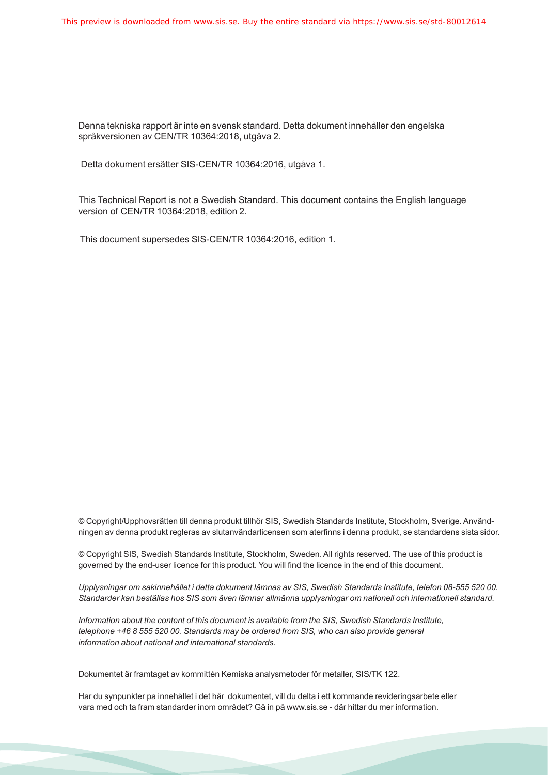Denna tekniska rapport är inte en svensk standard. Detta dokument innehåller den engelska språkversionen av CEN/TR 10364:2018, utgåva 2.

Detta dokument ersätter SIS-CEN/TR 10364:2016, utgåva 1.

This Technical Report is not a Swedish Standard. This document contains the English language version of CEN/TR 10364:2018, edition 2.

This document supersedes SIS-CEN/TR 10364:2016, edition 1.

© Copyright/Upphovsrätten till denna produkt tillhör SIS, Swedish Standards Institute, Stockholm, Sverige. Användningen av denna produkt regleras av slutanvändarlicensen som återfinns i denna produkt, se standardens sista sidor.

© Copyright SIS, Swedish Standards Institute, Stockholm, Sweden. All rights reserved. The use of this product is governed by the end-user licence for this product. You will find the licence in the end of this document.

*Upplysningar om sakinnehållet i detta dokument lämnas av SIS, Swedish Standards Institute, telefon 08-555 520 00. Standarder kan beställas hos SIS som även lämnar allmänna upplysningar om nationell och internationell standard.*

*Information about the content of this document is available from the SIS, Swedish Standards Institute, telephone +46 8 555 520 00. Standards may be ordered from SIS, who can also provide general information about national and international standards.*

Dokumentet är framtaget av kommittén Kemiska analysmetoder för metaller, SIS/TK 122.

Har du synpunkter på innehållet i det här dokumentet, vill du delta i ett kommande revideringsarbete eller vara med och ta fram standarder inom området? Gå in på www.sis.se - där hittar du mer information.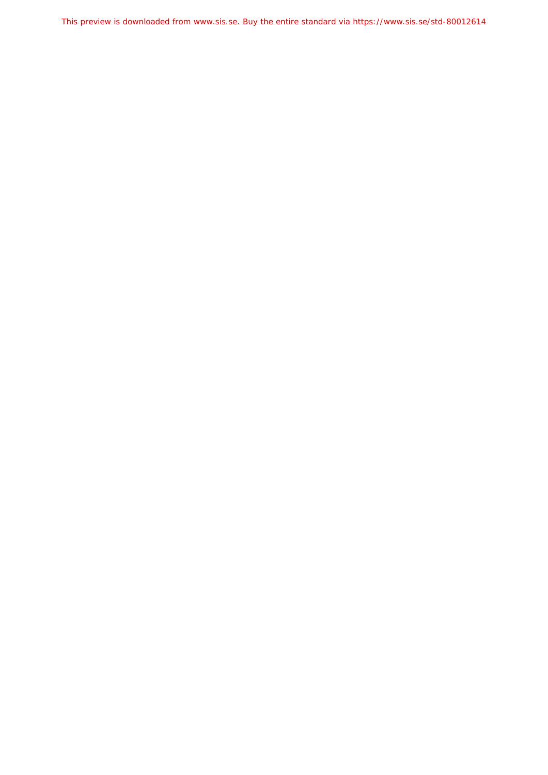This preview is downloaded from www.sis.se. Buy the entire standard via https://www.sis.se/std-80012614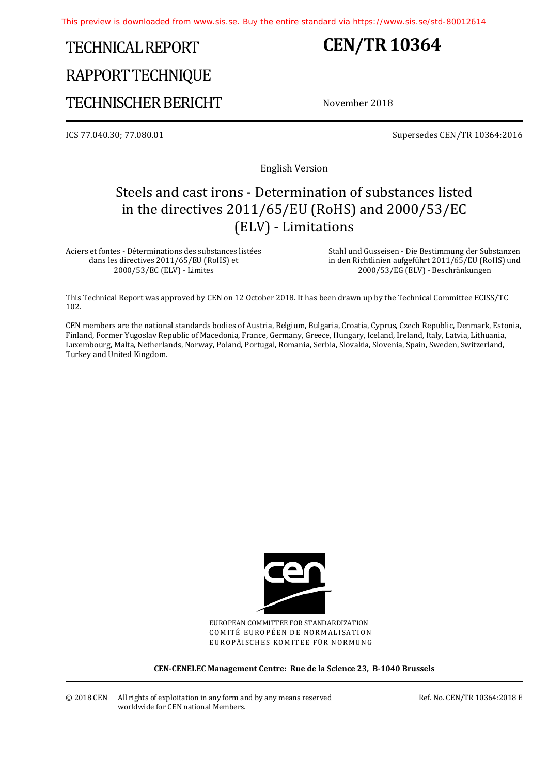# TECHNICAL REPORT RAPPORT TECHNIQUE TECHNISCHER BERICHT

# **CEN/TR 10364**

November 2018

ICS 77.040.30; 77.080.01 Supersedes CEN/TR 10364:2016

English Version

## Steels and cast irons - Determination of substances listed in the directives 2011/65/EU (RoHS) and 2000/53/EC (ELV) - Limitations

Aciers et fontes - Déterminations des substances listées dans les directives 2011/65/EU (RoHS) et 2000/53/EC (ELV) - Limites

Stahl und Gusseisen - Die Bestimmung der Substanzen in den Richtlinien aufgeführt 2011/65/EU (RoHS) und 2000/53/EG (ELV) - Beschränkungen

This Technical Report was approved by CEN on 12 October 2018. It has been drawn up by the Technical Committee ECISS/TC 102.

CEN members are the national standards bodies of Austria, Belgium, Bulgaria, Croatia, Cyprus, Czech Republic, Denmark, Estonia, Finland, Former Yugoslav Republic of Macedonia, France, Germany, Greece, Hungary, Iceland, Ireland, Italy, Latvia, Lithuania, Luxembourg, Malta, Netherlands, Norway, Poland, Portugal, Romania, Serbia, Slovakia, Slovenia, Spain, Sweden, Switzerland, Turkey and United Kingdom.



EUROPEAN COMMITTEE FOR STANDARDIZATION COMITÉ EUROPÉEN DE NORMALISATION EUROPÄISCHES KOMITEE FÜR NORMUNG

**CEN-CENELEC Management Centre: Rue de la Science 23, B-1040 Brussels** 

© 2018 CEN All rights of exploitation in any form and by any means reserved worldwide for CEN national Members.

Ref. No. CEN/TR 10364:2018 E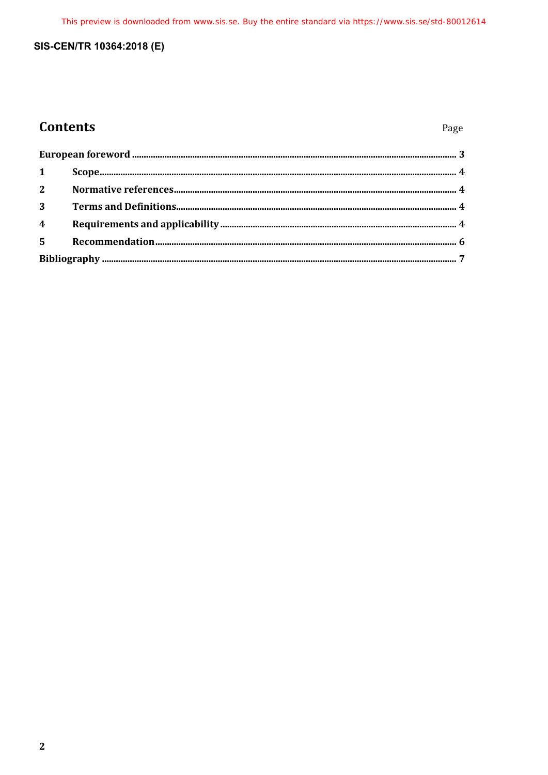This preview is downloaded from www.sis.se. Buy the entire standard via https://www.sis.se/std-80012614

## SIS-CEN/TR 10364:2018 (E)

## **Contents**

## Page

| $1 \quad \blacksquare$  |  |  |
|-------------------------|--|--|
|                         |  |  |
| $3^{\circ}$             |  |  |
| $\overline{\mathbf{4}}$ |  |  |
|                         |  |  |
|                         |  |  |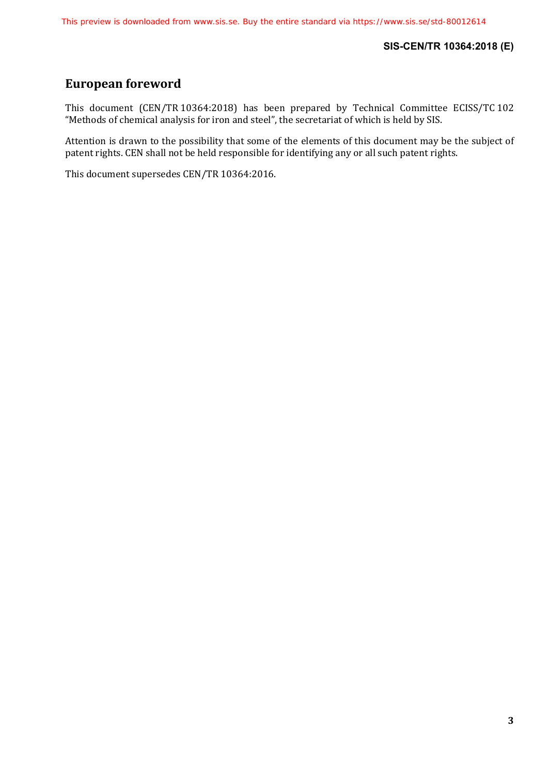#### **SIS-CEN/TR 10364:2018 (E)**

## <span id="page-6-0"></span>**European foreword**

This document (CEN/TR 10364:2018) has been prepared by Technical Committee ECISS/TC 102 "Methods of chemical analysis for iron and steel", the secretariat of which is held by SIS.

Attention is drawn to the possibility that some of the elements of this document may be the subject of patent rights. CEN shall not be held responsible for identifying any or all such patent rights.

This document supersedes CEN/TR 10364:2016.